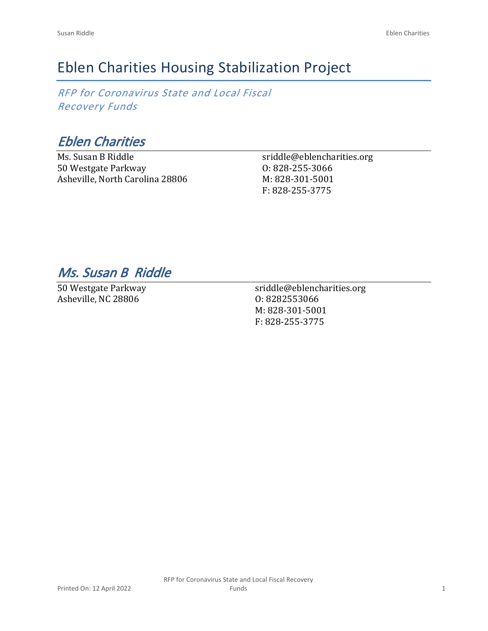# Eblen Charities Housing Stabilization Project

*RFP for Coronavirus State and Local Fiscal Recovery Funds*

*Eblen Charities*

Ms. Susan B Riddle 50 Westgate Parkway Asheville, North Carolina 28806 sriddle@eblencharities.org O: 828-255-3066 M: 828-301-5001 F: 828-255-3775

## *Ms. Susan B Riddle*

50 Westgate Parkway Asheville, NC 28806

sriddle@eblencharities.org O: 8282553066 M: 828-301-5001 F: 828-255-3775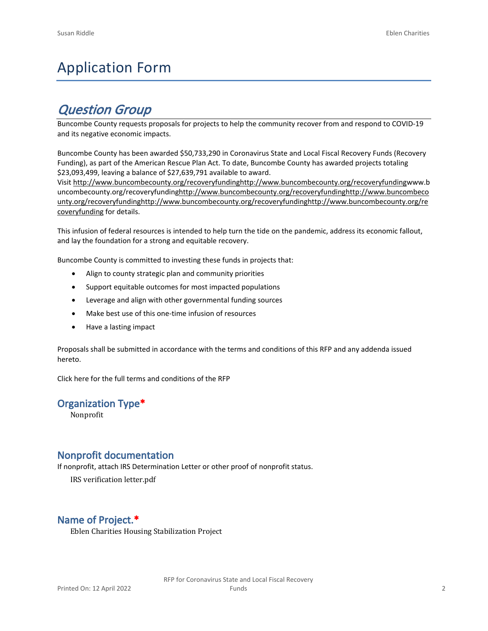# Application Form

## *Question Group*

Buncombe County requests proposals for projects to help the community recover from and respond to COVID-19 and its negative economic impacts.

Buncombe County has been awarded \$50,733,290 in Coronavirus State and Local Fiscal Recovery Funds (Recovery Funding), as part of the American Rescue Plan Act. To date, Buncombe County has awarded projects totaling \$23,093,499, leaving a balance of \$27,639,791 available to award.

Visit [http://www.buncombecounty.org/recoveryfundinghttp://www.buncombecounty.org/recoveryfundingwww.b](http://www.buncombecounty.org/recoveryfunding) [uncombecounty.org/recoveryfundinghttp://www.buncombecounty.org/recoveryfundinghttp://www.buncombeco](http://www.buncombecounty.org/recoveryfunding) [unty.org/recoveryfundinghttp://www.buncombecounty.org/recoveryfundinghttp://www.buncombecounty.org/re](http://www.buncombecounty.org/recoveryfunding) [coveryfunding](http://www.buncombecounty.org/recoveryfunding) for details.

This infusion of federal resources is intended to help turn the tide on the pandemic, address its economic fallout, and lay the foundation for a strong and equitable recovery.

Buncombe County is committed to investing these funds in projects that:

- Align to county strategic plan and community priorities
- Support equitable outcomes for most impacted populations
- Leverage and align with other governmental funding sources
- Make best use of this one-time infusion of resources
- Have a lasting impact

Proposals shall be submitted in accordance with the terms and conditions of this RFP and any addenda issued hereto.

Click [here](https://www.buncombecounty.org/common/purchasing/Buncombe%20Recovery%20Funding%20RFP%202022.pdf) for the full terms and conditions of the RFP

### **Organization Type\***

Nonprofit

### **Nonprofit documentation**

If nonprofit, attach IRS Determination Letter or other proof of nonprofit status.

IRS verification letter.pdf

### **Name of Project.\***

Eblen Charities Housing Stabilization Project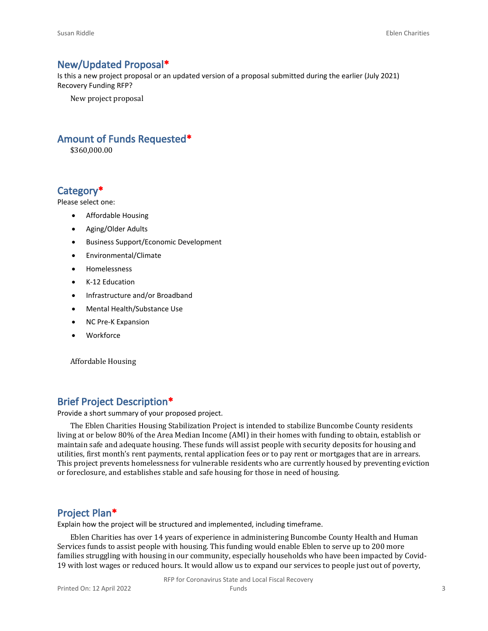#### **New/Updated Proposal\***

Is this a new project proposal or an updated version of a proposal submitted during the earlier (July 2021) Recovery Funding RFP?

New project proposal

#### **Amount of Funds Requested\***

\$360,000.00

### **Category\***

Please select one:

- Affordable Housing
- Aging/Older Adults
- Business Support/Economic Development
- Environmental/Climate
- Homelessness
- K-12 Education
- Infrastructure and/or Broadband
- Mental Health/Substance Use
- NC Pre-K Expansion
- Workforce

Affordable Housing

#### **Brief Project Description\***

Provide a short summary of your proposed project.

The Eblen Charities Housing Stabilization Project is intended to stabilize Buncombe County residents living at or below 80% of the Area Median Income (AMI) in their homes with funding to obtain, establish or maintain safe and adequate housing. These funds will assist people with security deposits for housing and utilities, first month's rent payments, rental application fees or to pay rent or mortgages that are in arrears. This project prevents homelessness for vulnerable residents who are currently housed by preventing eviction or foreclosure, and establishes stable and safe housing for those in need of housing.

#### **Project Plan\***

Explain how the project will be structured and implemented, including timeframe.

Eblen Charities has over 14 years of experience in administering Buncombe County Health and Human Services funds to assist people with housing. This funding would enable Eblen to serve up to 200 more families struggling with housing in our community, especially households who have been impacted by Covid-19 with lost wages or reduced hours. It would allow us to expand our services to people just out of poverty,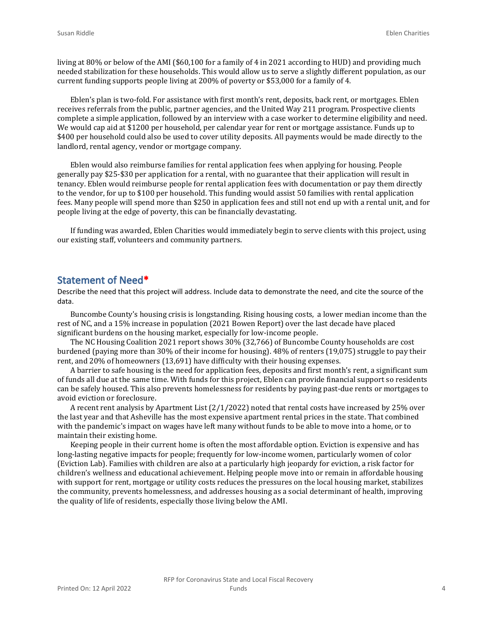living at 80% or below of the AMI (\$60,100 for a family of 4 in 2021 according to HUD) and providing much needed stabilization for these households. This would allow us to serve a slightly different population, as our current funding supports people living at 200% of poverty or \$53,000 for a family of 4.

Eblen's plan is two-fold. For assistance with first month's rent, deposits, back rent, or mortgages. Eblen receives referrals from the public, partner agencies, and the United Way 211 program. Prospective clients complete a simple application, followed by an interview with a case worker to determine eligibility and need. We would cap aid at \$1200 per household, per calendar year for rent or mortgage assistance. Funds up to \$400 per household could also be used to cover utility deposits. All payments would be made directly to the landlord, rental agency, vendor or mortgage company.

Eblen would also reimburse families for rental application fees when applying for housing. People generally pay \$25-\$30 per application for a rental, with no guarantee that their application will result in tenancy. Eblen would reimburse people for rental application fees with documentation or pay them directly to the vendor, for up to \$100 per household. This funding would assist 50 families with rental application fees. Many people will spend more than \$250 in application fees and still not end up with a rental unit, and for people living at the edge of poverty, this can be financially devastating.

If funding was awarded, Eblen Charities would immediately begin to serve clients with this project, using our existing staff, volunteers and community partners.

#### **Statement of Need\***

Describe the need that this project will address. Include data to demonstrate the need, and cite the source of the data.

Buncombe County's housing crisis is longstanding. Rising housing costs, a lower median income than the rest of NC, and a 15% increase in population (2021 Bowen Report) over the last decade have placed significant burdens on the housing market, especially for low-income people.

The NC Housing Coalition 2021 report shows 30% (32,766) of Buncombe County households are cost burdened (paying more than 30% of their income for housing). 48% of renters (19,075) struggle to pay their rent, and 20% of homeowners (13,691) have difficulty with their housing expenses.

A barrier to safe housing is the need for application fees, deposits and first month's rent, a significant sum of funds all due at the same time. With funds for this project, Eblen can provide financial support so residents can be safely housed. This also prevents homelessness for residents by paying past-due rents or mortgages to avoid eviction or foreclosure.

A recent rent analysis by Apartment List (2/1/2022) noted that rental costs have increased by 25% over the last year and that Asheville has the most expensive apartment rental prices in the state. That combined with the pandemic's impact on wages have left many without funds to be able to move into a home, or to maintain their existing home.

Keeping people in their current home is often the most affordable option. Eviction is expensive and has long-lasting negative impacts for people; frequently for low-income women, particularly women of color (Eviction Lab). Families with children are also at a particularly high jeopardy for eviction, a risk factor for children's wellness and educational achievement. Helping people move into or remain in affordable housing with support for rent, mortgage or utility costs reduces the pressures on the local housing market, stabilizes the community, prevents homelessness, and addresses housing as a social determinant of health, improving the quality of life of residents, especially those living below the AMI.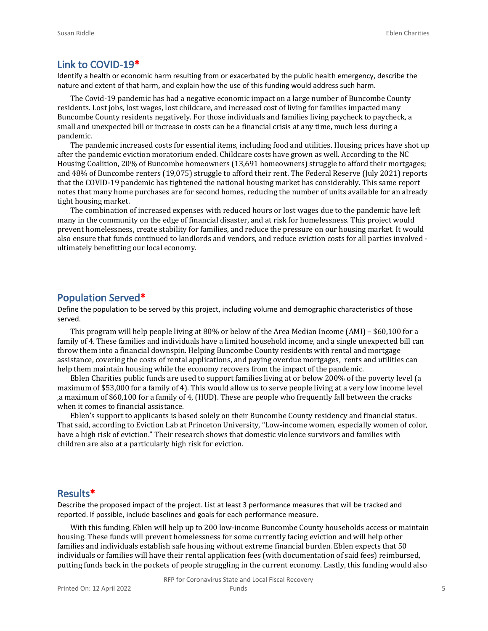#### **Link to COVID-19\***

Identify a health or economic harm resulting from or exacerbated by the public health emergency, describe the nature and extent of that harm, and explain how the use of this funding would address such harm.

The Covid-19 pandemic has had a negative economic impact on a large number of Buncombe County residents. Lost jobs, lost wages, lost childcare, and increased cost of living for families impacted many Buncombe County residents negatively. For those individuals and families living paycheck to paycheck, a small and unexpected bill or increase in costs can be a financial crisis at any time, much less during a pandemic.

The pandemic increased costs for essential items, including food and utilities. Housing prices have shot up after the pandemic eviction moratorium ended. Childcare costs have grown as well. According to the NC Housing Coalition, 20% of Buncombe homeowners (13,691 homeowners) struggle to afford their mortgages; and 48% of Buncombe renters (19,075) struggle to afford their rent. The Federal Reserve (July 2021) reports that the COVID-19 pandemic has tightened the national housing market has considerably. This same report notes that many home purchases are for second homes, reducing the number of units available for an already tight housing market.

The combination of increased expenses with reduced hours or lost wages due to the pandemic have left many in the community on the edge of financial disaster, and at risk for homelessness. This project would prevent homelessness, create stability for families, and reduce the pressure on our housing market. It would also ensure that funds continued to landlords and vendors, and reduce eviction costs for all parties involved ultimately benefitting our local economy.

#### **Population Served\***

Define the population to be served by this project, including volume and demographic characteristics of those served.

This program will help people living at 80% or below of the Area Median Income (AMI) – \$60,100 for a family of 4. These families and individuals have a limited household income, and a single unexpected bill can throw them into a financial downspin. Helping Buncombe County residents with rental and mortgage assistance, covering the costs of rental applications, and paying overdue mortgages, rents and utilities can help them maintain housing while the economy recovers from the impact of the pandemic.

Eblen Charities public funds are used to support families living at or below 200% of the poverty level (a maximum of \$53,000 for a family of 4). This would allow us to serve people living at a very low income level ,a maximum of \$60,100 for a family of 4, (HUD). These are people who frequently fall between the cracks when it comes to financial assistance.

Eblen's support to applicants is based solely on their Buncombe County residency and financial status. That said, according to Eviction Lab at Princeton University, "Low-income women, especially women of color, have a high risk of eviction." Their research shows that domestic violence survivors and families with children are also at a particularly high risk for eviction.

#### **Results\***

Describe the proposed impact of the project. List at least 3 performance measures that will be tracked and reported. If possible, include baselines and goals for each performance measure.

With this funding, Eblen will help up to 200 low-income Buncombe County households access or maintain housing. These funds will prevent homelessness for some currently facing eviction and will help other families and individuals establish safe housing without extreme financial burden. Eblen expects that 50 individuals or families will have their rental application fees (with documentation of said fees) reimbursed, putting funds back in the pockets of people struggling in the current economy. Lastly, this funding would also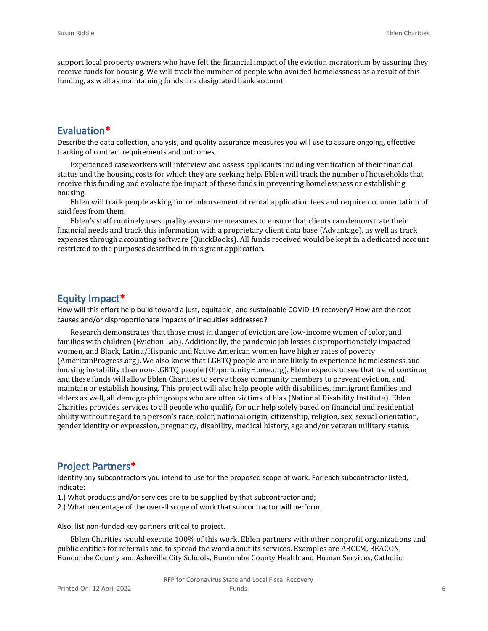support local property owners who have felt the financial impact of the eviction moratorium by assuring they receive funds for housing. We will track the number of people who avoided homelessness as a result of this funding, as well as maintaining funds in a designated bank account.

#### **Evaluation\***

Describe the data collection, analysis, and quality assurance measures you will use to assure ongoing, effective tracking of contract requirements and outcomes.

Experienced caseworkers will interview and assess applicants including verification of their financial status and the housing costs for which they are seeking help. Eblen will track the number of households that receive this funding and evaluate the impact of these funds in preventing homelessness or establishing housing.

Eblen will track people asking for reimbursement of rental application fees and require documentation of said fees from them.

Eblen's staff routinely uses quality assurance measures to ensure that clients can demonstrate their financial needs and track this information with a proprietary client data base (Advantage), as well as track expenses through accounting software (QuickBooks). All funds received would be kept in a dedicated account restricted to the purposes described in this grant application.

#### **Equity Impact\***

How will this effort help build toward a just, equitable, and sustainable COVID-19 recovery? How are the root causes and/or disproportionate impacts of inequities addressed?

Research demonstrates that those most in danger of eviction are low-income women of color, and families with children (Eviction Lab). Additionally, the pandemic job losses disproportionately impacted women, and Black, Latina/Hispanic and Native American women have higher rates of poverty (AmericanProgress.org). We also know that LGBTQ people are more likely to experience homelessness and housing instability than non-LGBTQ people (OpportunityHome.org). Eblen expects to see that trend continue, and these funds will allow Eblen Charities to serve those community members to prevent eviction, and maintain or establish housing. This project will also help people with disabilities, immigrant families and elders as well, all demographic groups who are often victims of bias (National Disability Institute). Eblen Charities provides services to all people who qualify for our help solely based on financial and residential ability without regard to a person's race, color, national origin, citizenship, religion, sex, sexual orientation, gender identity or expression, pregnancy, disability, medical history, age and/or veteran military status.

#### **Project Partners\***

Identify any subcontractors you intend to use for the proposed scope of work. For each subcontractor listed, indicate:

- 1.) What products and/or services are to be supplied by that subcontractor and;
- 2.) What percentage of the overall scope of work that subcontractor will perform.

Also, list non-funded key partners critical to project.

Eblen Charities would execute 100% of this work. Eblen partners with other nonprofit organizations and public entities for referrals and to spread the word about its services. Examples are ABCCM, BEACON, Buncombe County and Asheville City Schools, Buncombe County Health and Human Services, Catholic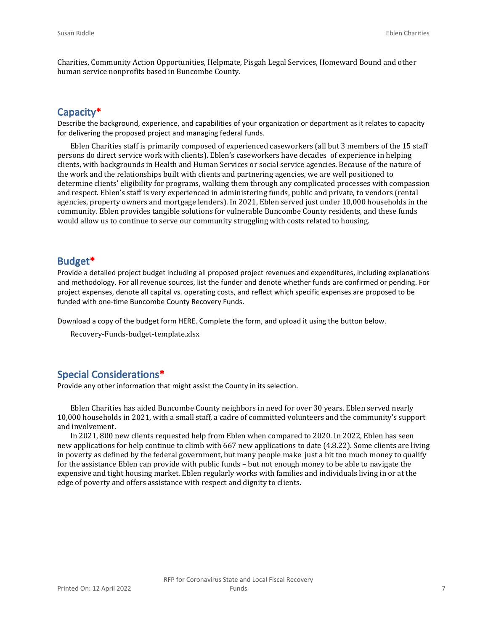Charities, Community Action Opportunities, Helpmate, Pisgah Legal Services, Homeward Bound and other human service nonprofits based in Buncombe County.

#### **Capacity\***

Describe the background, experience, and capabilities of your organization or department as it relates to capacity for delivering the proposed project and managing federal funds.

Eblen Charities staff is primarily composed of experienced caseworkers (all but 3 members of the 15 staff persons do direct service work with clients). Eblen's caseworkers have decades of experience in helping clients, with backgrounds in Health and Human Services or social service agencies. Because of the nature of the work and the relationships built with clients and partnering agencies, we are well positioned to determine clients' eligibility for programs, walking them through any complicated processes with compassion and respect. Eblen's staff is very experienced in administering funds, public and private, to vendors (rental agencies, property owners and mortgage lenders). In 2021, Eblen served just under 10,000 households in the community. Eblen provides tangible solutions for vulnerable Buncombe County residents, and these funds would allow us to continue to serve our community struggling with costs related to housing.

#### **Budget\***

Provide a detailed project budget including all proposed project revenues and expenditures, including explanations and methodology. For all revenue sources, list the funder and denote whether funds are confirmed or pending. For project expenses, denote all capital vs. operating costs, and reflect which specific expenses are proposed to be funded with one-time Buncombe County Recovery Funds.

Download a copy of the budget form [HERE](https://buncombecounty.org/common/community-investment/grants/early-childhood-education/Recovery-Funds-budget-template.xlsx). Complete the form, and upload it using the button below.

Recovery-Funds-budget-template.xlsx

#### **Special Considerations\***

Provide any other information that might assist the County in its selection.

Eblen Charities has aided Buncombe County neighbors in need for over 30 years. Eblen served nearly 10,000 households in 2021, with a small staff, a cadre of committed volunteers and the community's support and involvement.

In 2021, 800 new clients requested help from Eblen when compared to 2020. In 2022, Eblen has seen new applications for help continue to climb with 667 new applications to date (4.8.22). Some clients are living in poverty as defined by the federal government, but many people make just a bit too much money to qualify for the assistance Eblen can provide with public funds – but not enough money to be able to navigate the expensive and tight housing market. Eblen regularly works with families and individuals living in or at the edge of poverty and offers assistance with respect and dignity to clients.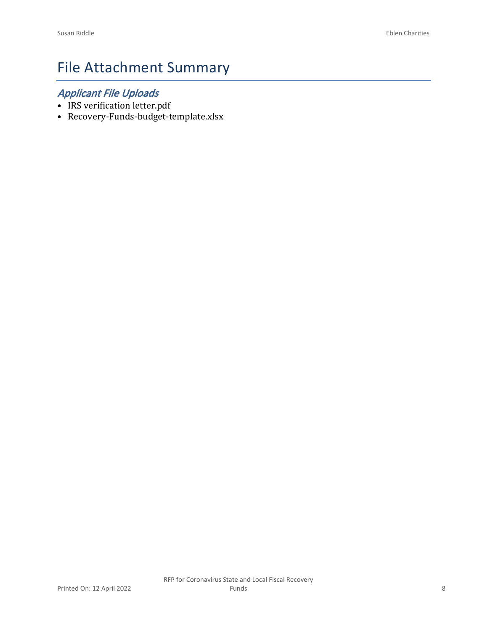# File Attachment Summary

## *Applicant File Uploads*

- IRS verification letter.pdf
- Recovery-Funds-budget-template.xlsx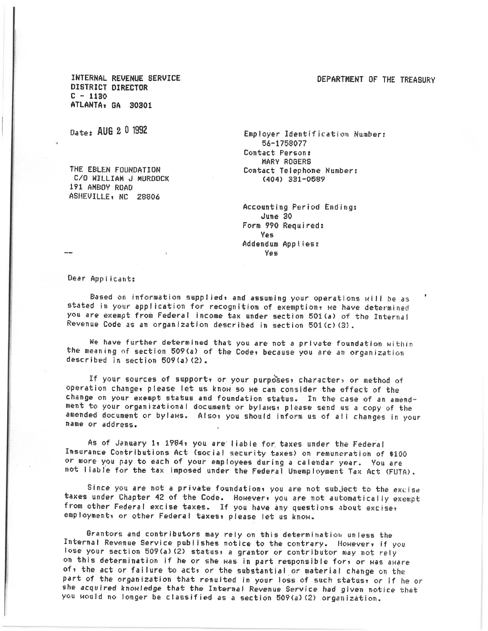#### DEPARTMENT OF THE TREASURY

INTERNAL REVENUE SERVICE DISTRICT DIRECTOR  $C - 1130$ ATLANTA, GA 30301

Date: AUG 2 0 1992

THE EBLEN FOUNDATION C/O WILLIAM J MURDOCK 191 AMBOY ROAD ASHEVILLE, NC 28806

Employer Identification Number: 56-1758077 Contact Person: MARY ROGERS Contact Telephone Number: (404) 331-0589

Accounting Period Endings June 30 Form 990 Required: Yes. Addendum Applies: Yes

Dear Applicant:

Based on information supplied, and assuming your operations will be as stated in your application for recognition of exemption, we have determined you are exempt from Federal income tax under section 501(a) of the Internal Revenue Code as an organization described in section 501(c)(3).

We have further determined that you are not a private foundation within the meaning of section 509(a) of the Code, because you are an organization described in section 509(a)(2).

If your sources of support, or your purposes, character, or method of operation change, please let us know so we can consider the effect of the change on your exempt status and foundation status. In the case of an amendment to your organizational document or bylaws, please send us a copy of the amended document or bylaws. Also, you should inform us of all changes in your name or address.

As of January 1, 1984, you are liable for taxes under the Federal Insurance Contributions Act (social security taxes) on remuneration of \$100 or more you pay to each of your employees during a calendar year. You are not liable for the tax imposed under the Federal Unemployment Tax Act (FUTA).

Since you are not a private foundation, you are not subject to the excise taxes under Chapter 42 of the Code. However, you are not automatically exempt from other Federal excise taxes. If you have any questions about excise, employment, or other Federal taxes, please let us know.

Grantors and contributors may rely on this determination unless the Internal Revenue Service publishes notice to the contrary. However, if you lose your section 509(a)(2) status, a grantor or contributor may not rely on this determination if he or she was in part responsible for, or was aware of, the act or failure to acts or the substantial or material change on the part of the organization that resulted in your loss of such status, or if he or she acquired knowledge that the Internal Revenue Service had given notice that you would no longer be classified as a section 509(a)(2) organization.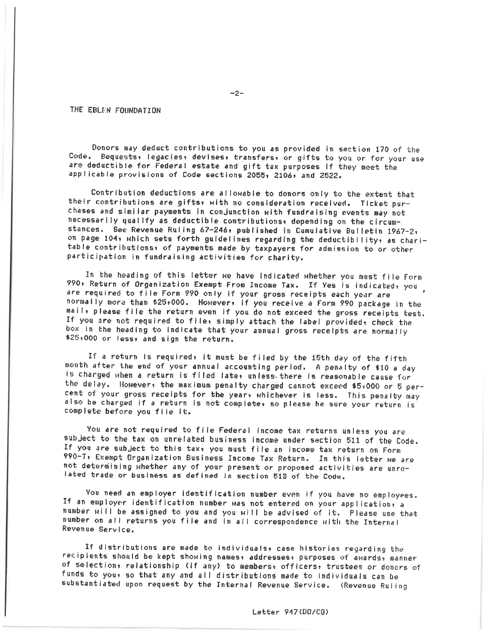#### THE EBLEN FOUNDATION

Donors may deduct contributions to you as provided in section 170 of the Code. Bequests, legacies, devises, transfers, or gifts to you or for your use are deductible for Federal estate and gift tax purposes if they meet the applicable provisions of Code sections 2055, 2106, and 2522.

Contribution deductions are allowable to donors only to the extent that their contributions are gifts, with no consideration received. Ticket purchases and similar payments in conjunction with fundraising events may not necessarily qualify as deductible contributions, depending on the circumstances. See Revenue Ruling 67-246, published in Cumulative Bulletin 1967-2, on page 104, which sets forth guidelines regarding the deductibility, as charitable contributions, of payments made by taxpayers for admission to or other participation in fundraising activities for charity.

In the heading of this letter we have indicated whether you must file Form 990, Return of Organization Exempt From Income Tax. If Yes is indicated, you are required to file Form 990 only if your gross receipts each year are normally more than \$25,000. However, if you receive a Form 990 package in the mails please file the return even if you do not exceed the gross receipts test. If you are not required to file, simply attach the label provided, check the box in the heading to indicate that your annual gross receipts are normally \$25,000 or less, and sign the return.

If a return is required, it must be filed by the 15th day of the fifth month after the end of your annual accounting period. A penalty of \$10 a day is charged when a return is filed late, unless there is reasonable cause for the delay. However: the maximum penalty charged cannot exceed \$5,000 or 5 percent of your gross receipts for the year, whichever is less. This penalty may also be charged if a return is not complete, so please be sure your return is complete before you file it.

You are not required to file Federal income tax returns unless you are subject to the tax on unrelated business income under section 511 of the Code. If you are subject to this tax, you must file an income tax return on Form 990-T, Exempt Organization Business Income Tax Return. In this letter we are not determining whether any of your present or proposed activities are unrelated trade or business as defined in section 512 of the Code.

You need an employer identification number even if you have no employees. If an employer identification number was not entered on your application, a number will be assigned to you and you will be advised of it. Please use that number on all returns you file and in all correspondence with the Internal Revenue Service.

If distributions are made to individuals, case histories regarding the recipients should be kept showing names, addresses, purposes of awards, manner of selection, relationship (if any) to members, officers, trustees or donors of funds to you, so that any and all distributions made to individuals can be substantiated upon request by the Internal Revenue Service. (Revenue Ruling

 $-2-$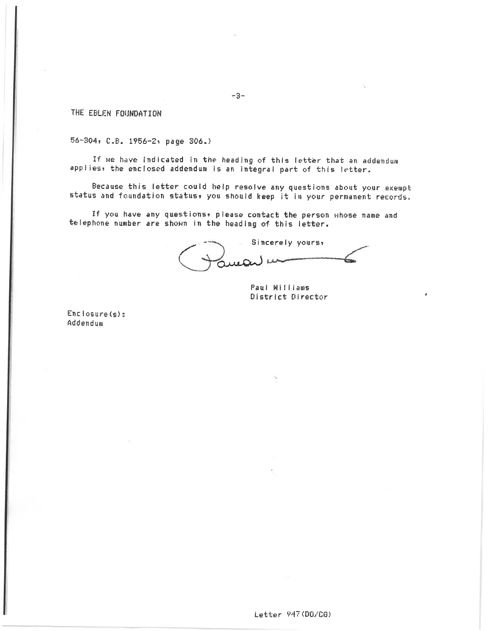THE EBLEN FOUNDATION

56-304, C.B. 1956-2, page 306.)

If we have indicated in the heading of this letter that an addendum applies, the enclosed addendum is an integral part of this letter.

Because this letter could help resolve any questions about your exempt status and foundation status, you should keep it in your permanent records.

If you have any questions, please contact the person whose name and telephone number are shown in the heading of this letter.

Sincerely yours, Juicis "

Paul Williams District Director

 $Enclose(s)$ : Addendum